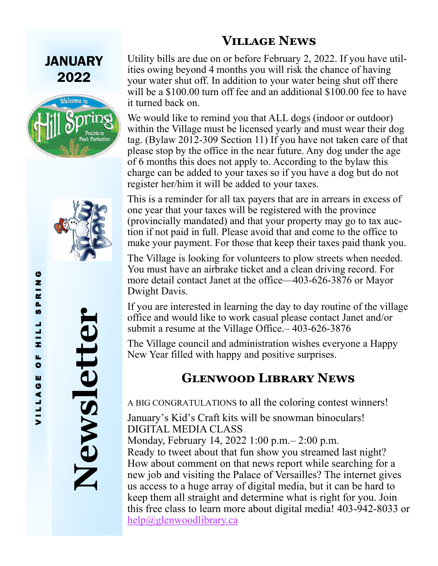#### **Village News**

JANUARY 2022





**Newsletter**

Utility bills are due on or before February 2, 2022. If you have utilities owing beyond 4 months you will risk the chance of having your water shut off. In addition to your water being shut off there will be a \$100.00 turn off fee and an additional \$100.00 fee to have it turned back on.

We would like to remind you that ALL dogs (indoor or outdoor) within the Village must be licensed yearly and must wear their dog tag. (Bylaw 2012-309 Section 11) If you have not taken care of that please stop by the office in the near future. Any dog under the age of 6 months this does not apply to. According to the bylaw this charge can be added to your taxes so if you have a dog but do not register her/him it will be added to your taxes.

This is a reminder for all tax payers that are in arrears in excess of one year that your taxes will be registered with the province (provincially mandated) and that your property may go to tax auction if not paid in full. Please avoid that and come to the office to make your payment. For those that keep their taxes paid thank you.

The Village is looking for volunteers to plow streets when needed. You must have an airbrake ticket and a clean driving record. For more detail contact Janet at the office—403-626-3876 or Mayor Dwight Davis.

If you are interested in learning the day to day routine of the village office and would like to work casual please contact Janet and/or submit a resume at the Village Office.– 403-626-3876

The Village council and administration wishes everyone a Happy New Year filled with happy and positive surprises.

#### **Glenwood Library News**

A BIG CONGRATULATIONS to all the coloring contest winners!

January's Kid's Craft kits will be snowman binoculars! DIGITAL MEDIA CLASS

Monday, February 14, 2022 1:00 p.m.– 2:00 p.m.

Ready to tweet about that fun show you streamed last night? How about comment on that news report while searching for a new job and visiting the Palace of Versailles? The internet gives us access to a huge array of digital media, but it can be hard to keep them all straight and determine what is right for you. Join this free class to learn more about digital media! 403-942-8033 or [help@glenwoodlibrary.ca](mailto:help@glenwoodlibrary.ca)